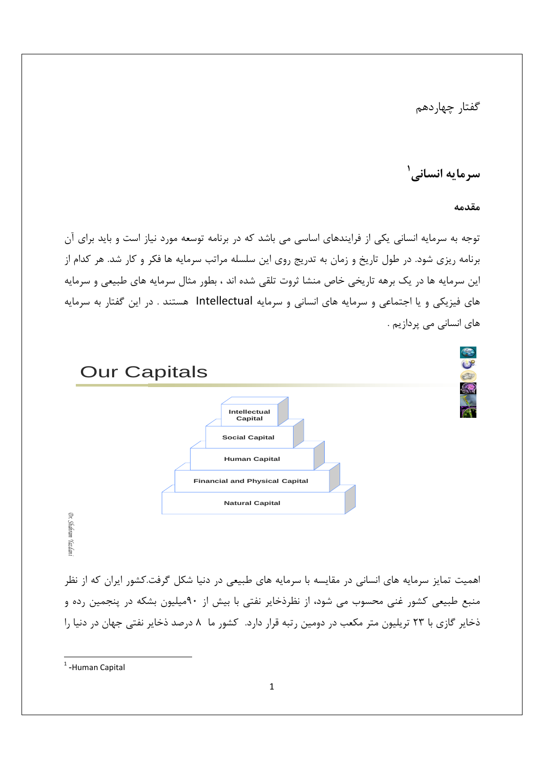گفتار چهاردهم

سرمايه انساني'

مقدمه

توجه به سرمایه انسانی یکی از فرایندهای اساسی می باشد که در برنامه توسعه مورد نیاز است و باید برای آن برنامه ریزی شود. در طول تاریخ و زمان به تدریج روی این سلسله مراتب سرمایه ها فکر و کار شد. هر کدام از این سرمایه ها در یک برهه تاریخی خاص منشا ثروت تلقی شده اند ، بطور مثال سرمایه های طبیعی و سرمایه های فیزیکی و یا اجتماعی و سرمایه های انسانی و سرمایه Intellectual هستند . در این گفتار به سرمایه های انسانی می پردازیم .



<sup>&</sup>lt;sup>1</sup>-Human Capital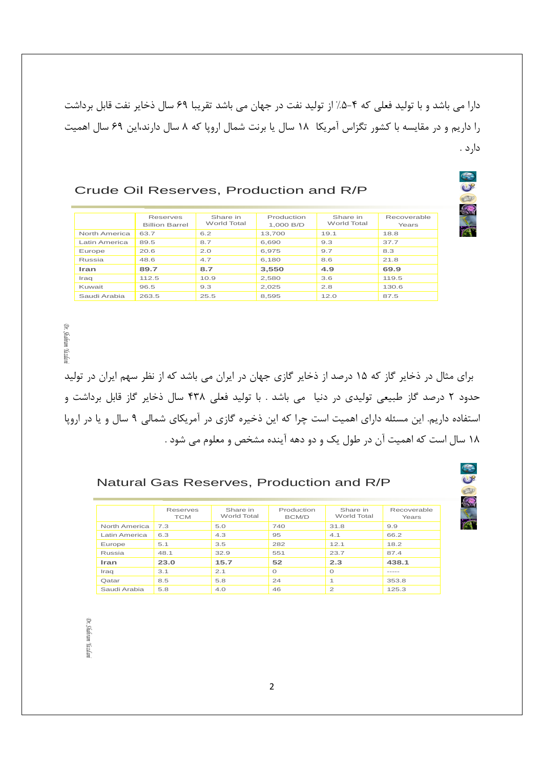دارا می باشد و با تولید فعلی که ۴–۵٪ از تولید نفت در جهان می باشد تقریبا ۶۹ سال ذخایر نفت قابل برداشت را داریم و در مقایسه با کشور تگزاس آمریکا ۱۸ سال یا برنت شمال اروپا که ۸ سال دارند،این ۶۹ سال اهمیت دارد .

T

 $\mathbb{C}$ 

#### Crude Oil Reserves, Production and R/P

|               | Reserves<br><b>Billion Barrel</b> | Share in<br>World Total | Production<br>1.000 B/D | Share in<br>World Total | Recoverable<br>Years |
|---------------|-----------------------------------|-------------------------|-------------------------|-------------------------|----------------------|
| North America | 63.7                              | 6.2                     | 13.700                  | 19.1                    | 18.8                 |
| Latin America | 89.5                              | 8.7                     | 6.690                   | 9.3                     | 37.7                 |
| Europe        | 20.6                              | 2.0                     | 6.975                   | 9.7                     | 8.3                  |
| Russia        | 48.6                              | 4.7                     | 6.180                   | 8.6                     | 21.8                 |
| Iran          | 89.7                              | 8.7                     | 3,550                   | 4.9                     | 69.9                 |
| Iraq          | 112.5                             | 10.9                    | 2.580                   | 3.6                     | 119.5                |
| Kuwait        | 96.5                              | 9.3                     | 2.025                   | 2.8                     | 130.6                |
| Saudi Arabia  | 263.5                             | 25.5                    | 8.595                   | 12.0                    | 87.5                 |

برای مثال در ذخایر گاز که ۱۵ درصد از ذخایر گازی جهان در ایران می باشد که از نظر سهم ایران در تولید حدود ۲ درصد گاز طبیعی تولیدی در دنیا می باشد . با تولید فعلی ۴۳۸ سال ذخایر گاز قابل برداشت و استفاده داریم. این مسئله دارای اهمیت است چرا که این ذخیره گازی در آمریکای شمالی ۹ سال و یا در اروپا ۱۸ سال است که اهمیت آن در طول یک و دو دهه آینده مشخص و معلوم می شود .

#### Natural Gas Reserves, Production and R/P

|               | Reserves<br><b>TCM</b> | Share in<br>World Total | Production<br><b>BCM/D</b> | Share in<br>World Total | Recoverable<br>Years |
|---------------|------------------------|-------------------------|----------------------------|-------------------------|----------------------|
| North America | 7.3                    | 5.0                     | 740                        | 31.8                    | 9.9                  |
| Latin America | 6.3                    | 4.3                     | 95                         | 4.1                     | 66.2                 |
| Europe        | 5.1                    | 3.5                     | 282                        | 12.1                    | 18.2                 |
| Russia        | 48.1                   | 32.9                    | 551                        | 23.7                    | 87.4                 |
| Iran          | 23.0                   | 15.7                    | 52                         | 2.3                     | 438.1                |
| Iraq          | 3.1                    | 2.1                     | $\Omega$                   | $\Omega$                | -----                |
| Qatar         | 8.5                    | 5.8                     | 24                         | $\overline{ }$          | 353.8                |
| Saudi Arabia  | 5.8                    | 4.0                     | 46                         | $\mathfrak{p}$          | 125.3                |

*Dr. Shahram Yazdani* Dr. Shahram Yazdan

*Dr. Shahram Yazdani*

Dr. Shahram Yazdan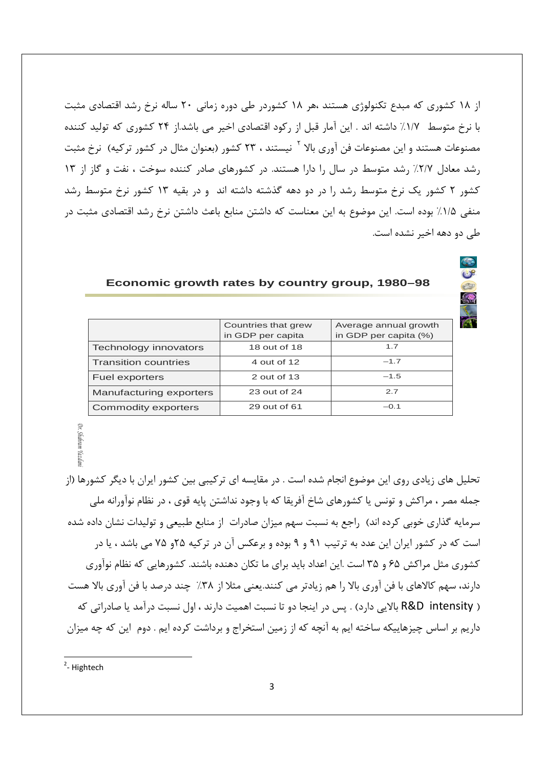از ۱۸ کشوری که مبدع تکنولوژی هستند ،هر ۱۸ کشوردر طی دوره زمانی ۲۰ ساله نرخ رشد اقتصادی مثبت با نرخ متوسط ١/٧٪ داشته اند . این آمار قبل از رکود اقتصادی اخیر می باشد.از ٢۴ کشوری که تولید کننده مصنوعات هستند و این مصنوعات فن آوری بالا <sup>۲</sup> نیستند ، ۲۳ کشور (بعنوان مثال در کشور ترکیه) نرخ مثبت رشد معادل ٢/٧٪ رشد متوسط در سال را دارا هستند. در کشورهای صادر کننده سوخت ، نفت و گاز از ١٣ کشور ۲ کشور یک نرخ متوسط رشد را در دو دهه گذشته داشته اند و در بقیه ۱۳ کشور نرخ متوسط رشد منفی ۱/۵٪ بوده است. این موضوع به این معناست که داشتن منابع باعث داشتن نرخ رشد اقتصادی مثبت در طی دو دهه اخیر نشده است.

|                             | Countries that grew<br>in GDP per capita | Average annual growth<br>in GDP per capita (%) |
|-----------------------------|------------------------------------------|------------------------------------------------|
| Technology innovators       | 18 out of 18                             | 1.7                                            |
| <b>Transition countries</b> | 4 out of 12                              | $-1.7$                                         |
| Fuel exporters              | 2 out of 13                              | $-1.5$                                         |
| Manufacturing exporters     | 23 out of 24                             | 2.7                                            |
| <b>Commodity exporters</b>  | 29 out of 61                             | $-0.1$                                         |

Economic growth rates by country group, 1980-98

# **Shahram** Yazda

تحلیل های زیادی روی این موضوع انجام شده است . در مقایسه ای ترکیبی بین کشور ایران با دیگر کشورها (از جمله مصر ، مراكش و تونس يا كشورهاي شاخ آفريقا كه با وجود نداشتن پايه قوي ، در نظام نوآورانه ملي سرمایه گذاری خوبی کرده اند) راجع به نسبت سهم میزان صادرات از منابع طبیعی و تولیدات نشان داده شده است که در کشور ایران این عدد به ترتیب ۹۱ و ۹ بوده و برعکس آن در ترکیه ۲۵و ۷۵ می باشد ، یا در کشوری مثل مراکش ۶۵ و ۳۵ است .این اعداد باید برای ما تکان دهنده باشند. کشورهایی که نظام نوآوری دارند، سهم کالاهای با فن آوری بالا را هم زیادتر می کنند.یعنی مثلا از ۳۸٪ چند درصد با فن آوری بالا هست ( R&D intensity بالايي دارد) . پس در اينجا دو تا نسبت اهميت دارند ، اول نسبت درآمد يا صادراتي كه داریم بر اساس چیزهاییکه ساخته ایم به آنچه که از زمین استخراج و برداشت کرده ایم . دوم این که چه میزان

 $2$ -Hightech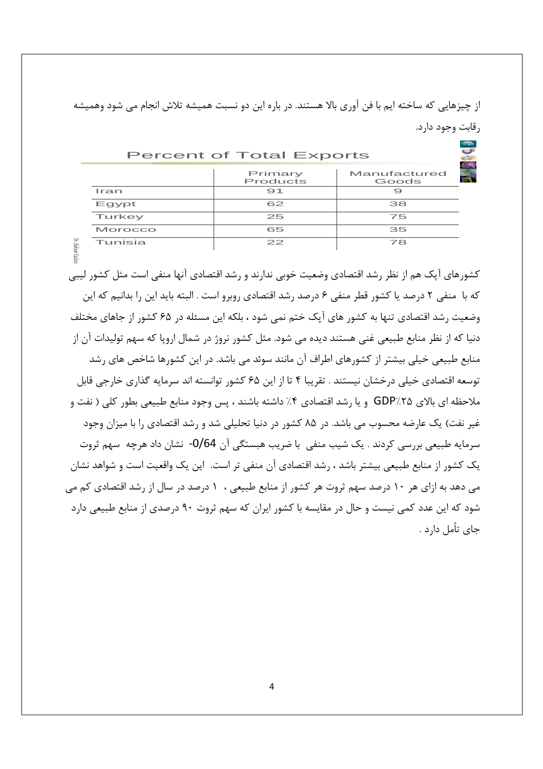از چیزهایی که ساخته ایم با فن آوری بالا هستند. در باره این دو نسبت همیشه تلاش انجام می شود وهمیشه رقابت وجود دارد.

| <b>Percent of Total Exports</b> |                     |                       |  |  |  |
|---------------------------------|---------------------|-----------------------|--|--|--|
|                                 | Primary<br>Products | Manufactured<br>Goods |  |  |  |
| Iran                            | 91                  |                       |  |  |  |
| Egypt                           | 62                  | 38                    |  |  |  |
| Turkey                          | 25                  | 75                    |  |  |  |
| Morocco                         | 65                  | 35                    |  |  |  |
| Tunisia                         | 22                  | 78                    |  |  |  |

Dr. Shaintar

کشورهای آپک هم از نظر رشد اقتصادی وضعیت خوبی ندارند و رشد اقتصادی آنها منفی است مثل کشور لیبی که با ً منفی ۲ درصد یا کشور قطر منفی ۶ درصد رشد اقتصادی روبرو است . البته باید این را بدانیم که این وضعیت رشد اقتصادی تنها به کشور های آیک ختم نمی شود ، بلکه این مسئله در ۶۵ کشور از جاهای مختلف دنیا که از نظر منابع طبیعی غنی هستند دیده می شود. مثل کشور نروژ در شمال اروپا که سهم تولیدات آن از منابع طبیعی خیلی بیشتر از کشورهای اطراف آن مانند سوئد می باشد. در این کشورها شاخص های رشد توسعه اقتصادی خیلی درخشان نیستند . تقریبا ۴ تا از این ۶۵ کشور توانسته اند سرمایه گذاری خارجی قابل ملاحظه اي بالاي GDP/۲۵ و يا رشد اقتصادي ۴٪ داشته باشند ، پس وجود منابع طبيعي بطور كلي ( نفت و غیر نفت) یک عارضه محسوب می باشد. در ۸۵ کشور در دنیا تحلیلی شد و رشد اقتصادی را با میزان وجود سرمایه طبیعی بررسی کردند . یک شیب منفی با ضریب هبستگی آن 0/64- نشان داد هرچه سهم ثروت یک کشور از منابع طبیعی بیشتر باشد ، رشد اقتصادی آن منفی تر است. این یک واقعیت است و شواهد نشان می دهد به ازای هر ۱۰ درصد سهم ثروت هر کشور از منابع طبیعی ، ۱ درصد در سال از رشد اقتصادی کم می شود که این عدد کمی نیست و حال در مقایسه با کشور ایران که سهم ثروت ۹۰ درصدی از منابع طبیعی دارد جای تأمل دارد .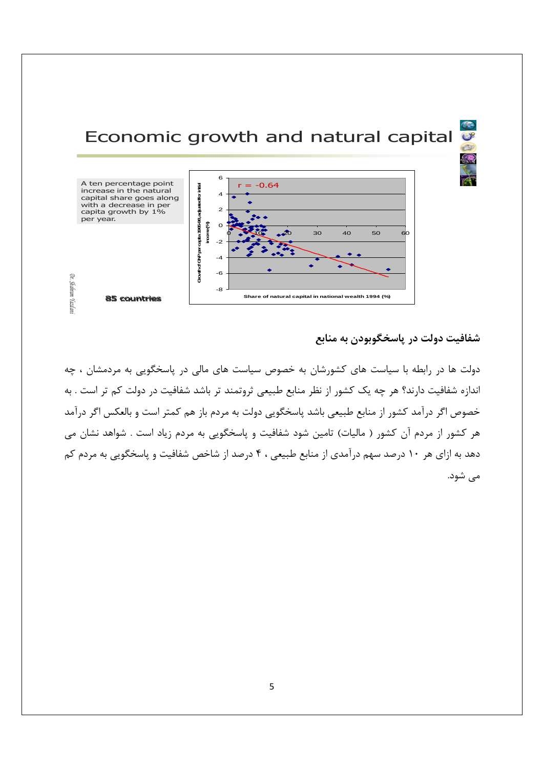

شفافیت دولت در پاسخگوبودن به منابع

دولت ها در رابطه با سیاست های کشورشان به خصوص سیاست های مالی در پاسخگویی به مردمشان ، چه اندازه شفافیت دارند؟ هر چه یک کشور از نظر منابع طبیعی ثروتمند تر باشد شفافیت در دولت کم تر است . به خصوص اگر درآمد کشور از منابع طبیعی باشد پاسخگویی دولت به مردم باز هم کمتر است و بالعکس اگر درآمد هر کشور از مردم آن کشور ( مالیات) تامین شود شفافیت و پاسخگویی به مردم زیاد است . شواهد نشان می دهد به ازای هر ۱۰ درصد سهم درآمدی از منابع طبیعی ، ۴ درصد از شاخص شفافیت و پاسخگویی به مردم کم می شود.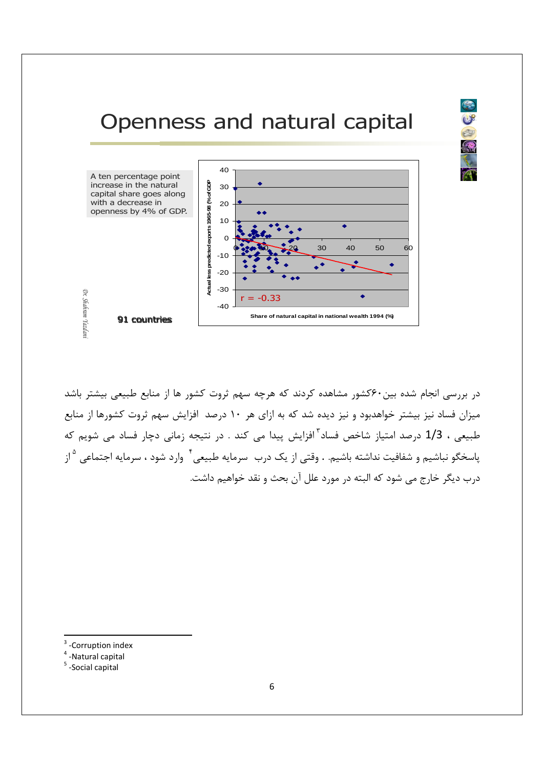

2



در بررسی انجام شده بین ۶۰کشور مشاهده کردند که هرچه سهم ثروت کشور ها از منابع طبیعی بیشتر باشد میزان فساد نیز بیشتر خواهدبود و نیز دیده شد که به ازای هر ۱۰ درصد افزایش سهم ثروت کشورها از منابع طبیعی ، 1/3 درصد امتیاز شاخص فساد<sup>۳</sup> افزایش پیدا می کند . در نتیجه زمانی دچار فساد می شویم که ياسخگو نباشيم و شفافيت نداشته باشيم. . وقتي از يک درب سرمايه طبيعي <sup>۴</sup> وارد شود ، سرمايه اجتماعي <sup>۵</sup>از درب دیگر خارج می شود که البته در مورد علل آن بحث و نقد خواهیم داشت.

- -Corruption index
- $4$  -Natural capital
- $5$  -Social capital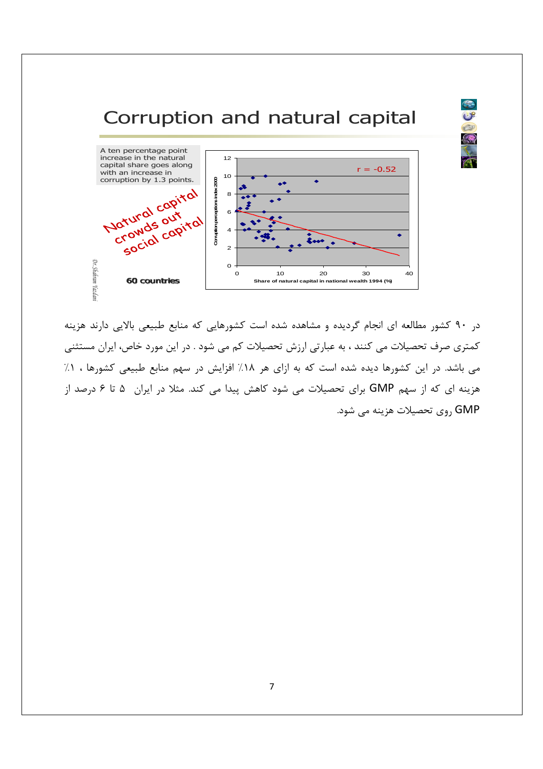## Corruption and natural capital

EU



در ۹۰ کشور مطالعه ای انجام گردیده و مشاهده شده است کشورهایی که منابع طبیعی بالایی دارند هزینه كمترى صرف تحصيلات مى كنند ، به عبارتى ارزش تحصيلات كم مى شود . در اين مورد خاص، ايران مستثنى می باشد. در این کشورها دیده شده است که به ازای هر ۱۸٪ افزایش در سهم منابع طبیعی کشورها ، ۱٪ هزینه ای که از سهم GMP برای تحصیلات می شود کاهش پیدا می کند. مثلا در ایران ۵۰ تا ۶ درصد از GMP روى تحصيلات هزينه مي شود.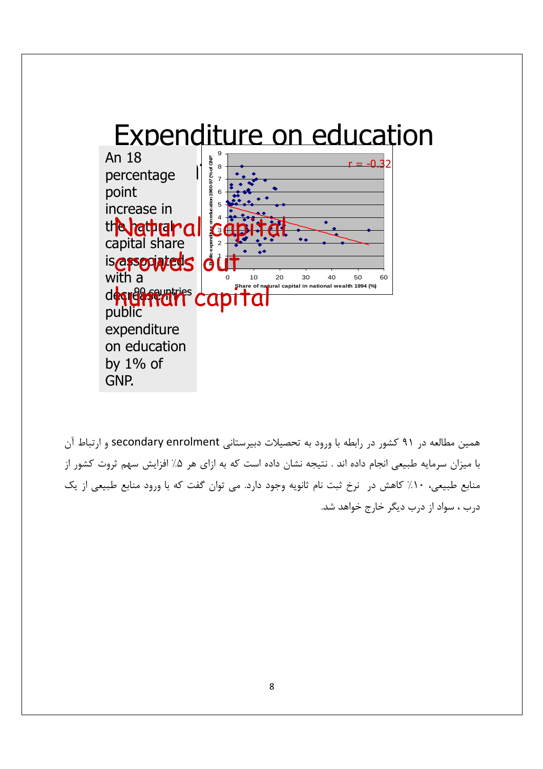

همین مطالعه در ۹۱ کشور در رابطه با ورود به تحصیلات دبیرستانی secondary enrolment و ارتباط آن با میزان سرمایه طبیعی انجام داده اند . نتیجه نشان داده است که به ازای هر ۵٪ افزایش سهم ثروت کشور از منابع طبیعی، ۱۰٪ کاهش در نرخ ثبت نام ثانویه وجود دارد. می توان گفت که با ورود منابع طبیعی از یک درب ، سواد از درب دیگر خارج خواهد شد.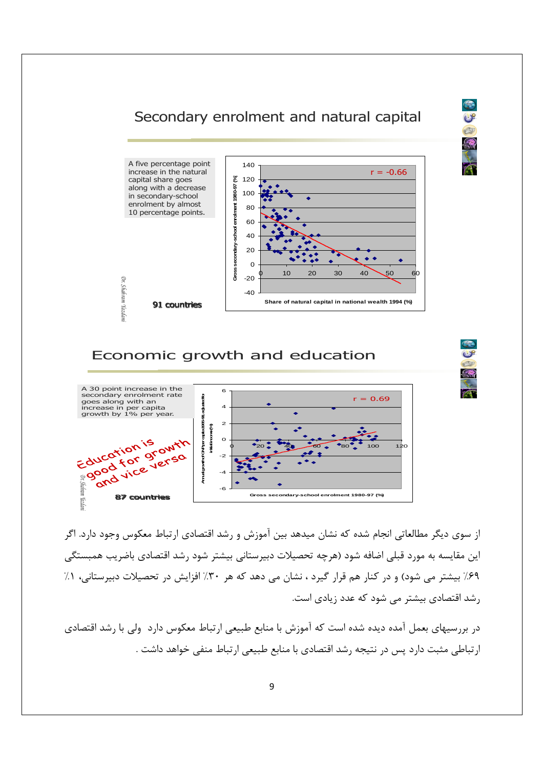#### Secondary enrolment and natural capital

 $C8$ E



#### Economic growth and education



از سوی دیگر مطالعاتی انجام شده که نشان میدهد بین آموزش و رشد اقتصادی ارتباط معکوس وجود دارد. اگر این مقایسه به مورد قبلی اضافه شود (هرچه تحصیلات دبیرستانی بیشتر شود رشد اقتصادی باضریب همبستگی ۶۹٪ بیشتر می شود) و در کنار هم قرار گیرد ، نشان می دهد که هر ۳۰٪ افزایش در تحصیلات دبیرستانی، ۱٪ رشد اقتصادی بیشتر می شود که عدد زیادی است.

در بررسیهای بعمل آمده دیده شده است که آموزش با منابع طبیعی ارتباط معکوس دارد ٍ ولی با رشد اقتصادی ارتباطي مثبت دارد پس در نتيجه رشد اقتصادي با منابع طبيعي ارتباط منفي خواهد داشت .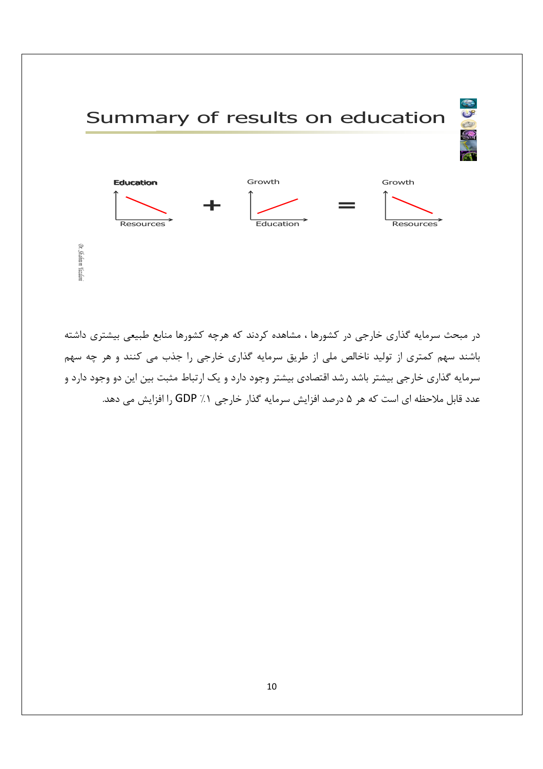

در مبحث سرمایه گذاری خارجی در کشورها ، مشاهده کردند که هرچه کشورها منابع طبیعی بیشتری داشته باشند سهم کمتری از تولید ناخالص ملی از طریق سرمایه گذاری خارجی را جذب می کنند و هر چه سهم سرمایه گذاری خارجی بیشتر باشد رشد اقتصادی بیشتر وجود دارد و یک ارتباط مثبت بین این دو وجود دارد و عدد قابل ملاحظه اي است كه هر ۵ درصد افزايش سرمايه گذار خارجي ۱٪ GDP را افزايش مي دهد.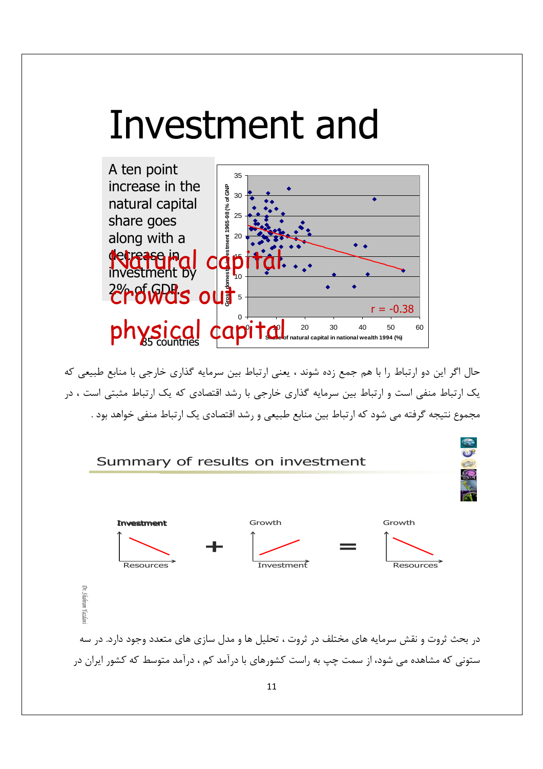# Investment and



حال اگر این دو ارتباط را با هم جمع زده شوند ، یعنی ارتباط بین سرمایه گذاری خارجی با منابع طبیعی که یک ارتباط منفی است و ارتباط بین سرمایه گذاری خارجی با رشد اقتصادی که یک ارتباط مثبتی است ، در مجموع نتيجه گرفته مي شود كه ارتباط بين منابع طبيعي و رشد اقتصادي يک ارتباط منفي خواهد بود .

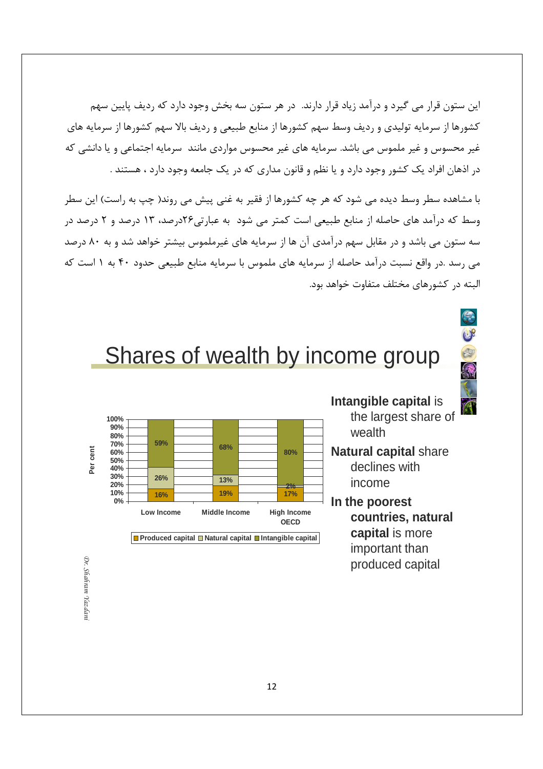این ستون قرار می گیرد و درآمد زیاد قرار دارند. در هر ستون سه بخش وجود دارد که ردیف پایین سهم کشورها از سرمایه تولیدی و ردیف وسط سهم کشورها از منابع طبیعی و ردیف بالا سهم کشورها از سرمایه های غیر محسوس و غیر ملموس می باشد. سرمایه های غیر محسوس مواردی مانند سرمایه اجتماعی و یا دانشی که در اذهان افراد یک کشور وجود دارد و یا نظم و قانون مداری که در یک جامعه وجود دارد ، هستند .

با مشاهده سطر وسط دیده می شود که هر چه کشورها از فقیر به غنی پیش می روند( چپ به راست) این سطر وسط که درآمد های حاصله از منابع طبیعی است کمتر می شود به عبارتی۲۶درصد، ۱۳ درصد و ۲ درصد در سه ستون می باشد و در مقابل سهم درآمدی آن ها از سرمایه های غیرملموس بیشتر خواهد شد و به ۸۰ درصد می رسد .در واقع نسبت درآمد حاصله از سرمایه های ملموس با سرمایه منابع طبیعی حدود ۴۰ به ۱ است که البته در کشورهای مختلف متفاوت خواهد بود.



# Shares of wealth by income group





- wealth **Natural capital** share declines with
	- income
- **In the poorest countries, natural capital** is more important than produced capital

Dr. Shahram Yazdanı *Dr. Shahram Yazdani*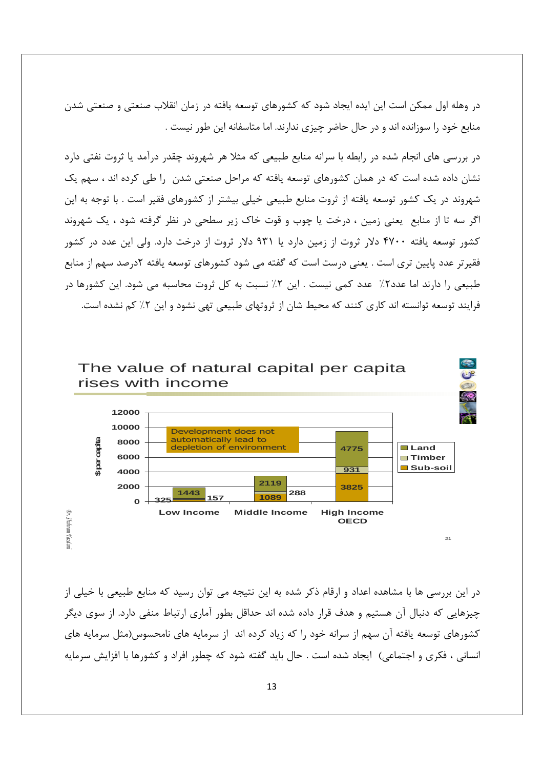در وهله اول ممکن است این ایده ایجاد شود که کشورهای توسعه یافته در زمان انقلاب صنعتی و صنعتی شدن منابع خود را سوزانده اند و در حال حاضر چیزی ندارند. اما متاسفانه این طور نیست .

در بررسی های انجام شده در رابطه با سرانه منابع طبیعی که مثلا هر شهروند چقدر درآمد یا ثروت نفتی دارد نشان داده شده است که در همان کشورهای توسعه یافته که مراحل صنعتی شدن ۱٫ طی کرده اند ، سهم یک شهروند در یک کشور توسعه یافته از ثروت منابع طبیعی خیلی بیشتر از کشورهای فقیر است . با توجه به این اگر سه تا از منابع یعنی زمین ، درخت یا چوب و قوت خاک زیر سطحی در نظر گرفته شود ، یک شهروند کشور توسعه یافته ۴۷۰۰ دلار ثروت از زمین دارد یا ۹۳۱ دلار ثروت از درخت دارد. ولی این عدد در کشور فقیر تر عدد پایین تری است . یعنی درست است که گفته می شود کشورهای توسعه یافته ۲درصد سهم از منابع طبیعی را دارند اما عدد۲٪ عدد کمی نیست . این ۲٪ نسبت به کل ثروت محاسبه می شود. این کشورها در فرایند توسعه توانسته اند کاری کنند که محیط شان از ثروتهای طبیعی تهی نشود و این ۲٪ کم نشده است.



در این بررسی ها با مشاهده اعداد و ارقام ذکر شده به این نتیجه می توان رسید که منابع طبیعی با خیلی از چیزهایی که دنبال آن هستیم و هدف قرار داده شده اند حداقل بطور آماری ارتباط منفی دارد. از سوی دیگر کشورهای توسعه یافته آن سهم از سرانه خود را که زیاد کرده اند از سرمایه های نامحسوس(مثل سرمایه های انسانی ، فکری و اجتماعی) |یجاد شده است . حال باید گفته شود که چطور افراد و کشورها با افزایش سرمایه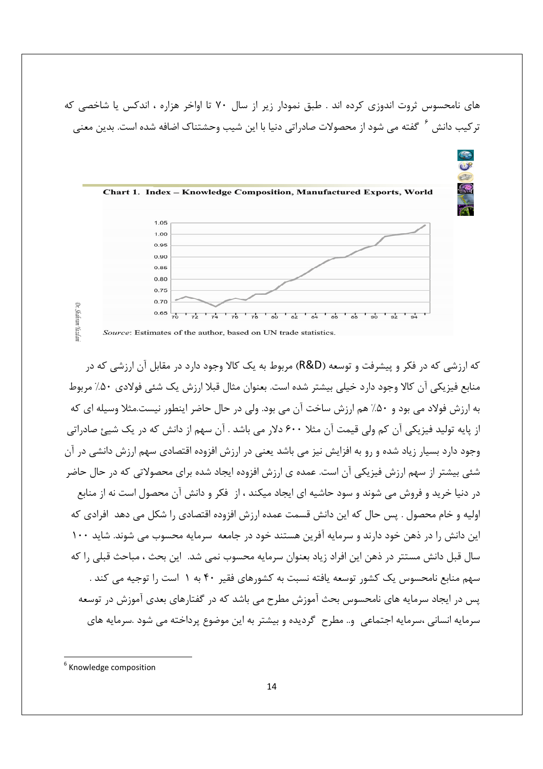های نامحسوس ثروت اندوزی کرده اند . طبق نمودار زیر از سال ۷۰ تا اواخر هزاره ، اندکس یا شاخصی که تر کیب دانش <sup>۲</sup> گفته می شود از محصولات صادراتی دنیا با این شیب وحشتناک اضافه شده است. بدین معنی



که ارزشی که در فکر و پیشرفت و توسعه (R&D) مربوط به یک کالا وجود دارد در مقابل آن ارزشی که در منابع فيزيكي آن كالا وجود دارد خيلي بيشتر شده است. بعنوان مثال قبلا ارزش يک شئي فولادي ۵۰٪ مربوط به ارزش فولاد می بود و ۵۰٪ هم ارزش ساخت آن می بود. ولی در حال حاضر اینطور نیست.مثلا وسیله ای که از پایه تولید فیزیکی آن کم ولی قیمت آن مثلا ۶۰۰ دلار می باشد . آن سهم از دانش که در یک شیئ صادراتی وجود دارد بسیار زیاد شده و رو به افزایش نیز می باشد یعنی در ارزش افزوده اقتصادی سهم ارزش دانشی در آن شئی بیشتر از سهم ارزش فیزیکی آن است. عمده ی ارزش افزوده ایجاد شده برای محصولاتی که در حال حاضر در دنیا خرید و فروش می شوند و سود حاشیه ای ایجاد میکند ، از فکر و دانش آن محصول است نه از منابع اوليه و خام محصول . پس حال كه اين دانش قسمت عمده ارزش افزوده اقتصادي را شكل مي دهد افرادي كه این دانش را در ذهن خود دارند و سرمایه آفرین هستند خود در جامعه سرمایه محسوب می شوند. شاید ۱۰۰ سال قبل دانش مستتر در ذهن این افراد زیاد بعنوان سرمایه محسوب نمی شد. این بحث ، مباحث قبلی را که سهم منابع نامحسوس یک کشور توسعه یافته نسبت به کشورهای فقیر ۴۰ به ۱ است را توجیه می کند . یس در ایجاد سرمایه های نامحسوس بحث آموزش مطرح می باشد که در گفتارهای بعدی آموزش در توسعه سرمايه انساني ،سرمايه اجتماعي ٍ و.. مطرح گرديده و بيشتر به اين موضوع پرداخته مي شود .سرمايه هاي

<sup>&</sup>lt;sup>6</sup> Knowledge composition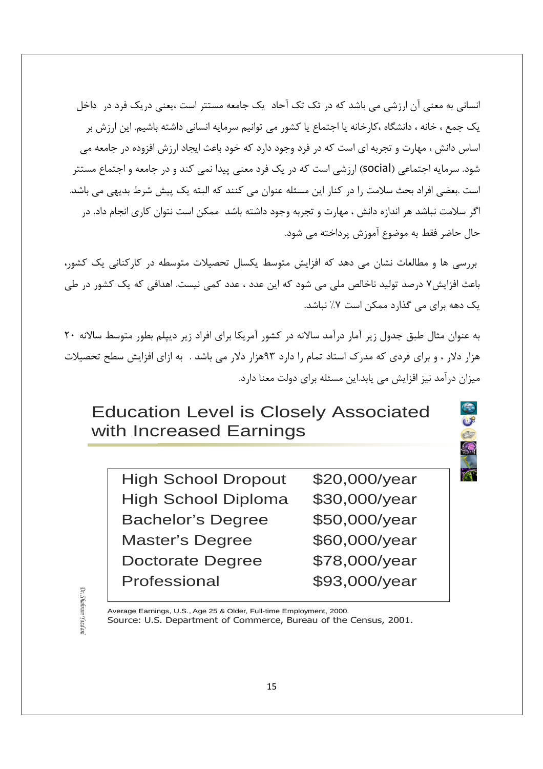انسانی به معنی آن ارزشی می باشد که در تک تک آحاد یک جامعه مستتر است ،یعنی دریک فرد در داخل یک جمع ، خانه ، دانشگاه ،کارخانه یا اجتماع یا کشور می توانیم سرمایه انسانی داشته باشیم. این ارزش بر اساس دانش ، مهارت و تجربه ای است که در فرد وجود دارد که خود باعث ایجاد ارزش افزوده در جامعه می شود. سرمایه اجتماعی (social) ارزشی است که در یک فرد معنی پیدا نمی کند و در جامعه و اجتماع مستتر است .بعضي افراد بحث سلامت را در كنار اين مسئله عنوان مي كنند كه البته يک پيش شرط بديهي مي باشد. اگر سلامت نباشد هر اندازه دانش ، مهارت و تجربه وجود داشته باشد ممکن است نتوان کاری انجام داد. در حال حاضر فقط به موضوع آموزش پرداخته می شود.

بررسی ها و مطالعات نشان می دهد که افزایش متوسط یکسال تحصیلات متوسطه در کارکنانی یک کشور، باعث افزایش۷ درصد تولید ناخالص ملی می شود که این عدد ، عدد کمی نیست. اهدافی که یک کشور در طی یک دهه برای می گذارد ممکن است ۷٪ نباشد.

به عنوان مثال طبق جدول زير آمار درآمد سالانه در كشور آمريكا براي افراد زير ديپلم بطور متوسط سالانه ٢٠ هزار دلار ، و برای فردی که مدرک استاد تمام را دارد ۹۳هزار دلار می باشد . به ازای افزایش سطح تحصیلات میزان درآمد نیز افزایش می یابد.این مسئله برای دولت معنا دارد.

# Education Level is Closely Associated with Increased Earnings

High School Dropout \$20,000/year High School Diploma \$30,000/year Bachelor's Degree \$50,000/year Master's Degree \$60,000/year Doctorate Degree \$78,000/year Professional \$93,000/year

E

ÒК. *Dr. Shahram Yazdani* Shahram Yazdar

Average Earnings, U.S., Age 25 & Older, Full-time Employment, 2000. Source: U.S. Department of Commerce, Bureau of the Census, 2001.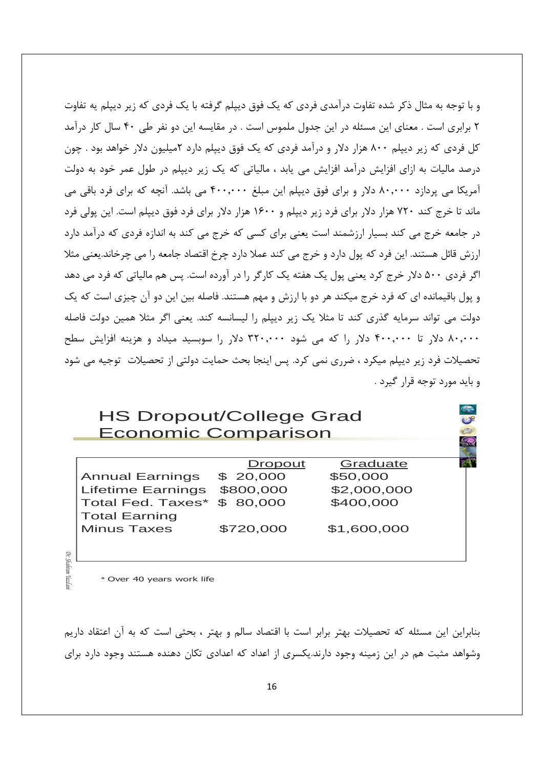و با توجه به مثال ذکر شده تفاوت درآمدی فردی که یک فوق دیپلم گرفته با یک فردی که زیر دیپلم یه تفاوت ۲ برابری است . معنای این مسئله در این جدول ملموس است . در مقایسه این دو نفر طی ۴۰ سال کار درآمد کل فردی که زیر دیپلم ۸۰۰ هزار دلار و درآمد فردی که یک فوق دیپلم دارد ۲میلیون دلار خواهد بود . چون درصد مالیات به ازای افزایش درآمد افزایش می یابد ، مالیاتی که یک زیر دیپلم در طول عمر خود به دولت آمریکا می پردازد ۸۰٫۰۰۰ دلار و برای فوق دیپلم این مبلغ ۴۰۰٫۰۰۰ می باشد. آنچه که برای فرد باقی می ماند تا خرج کند ۷۲۰ هزار دلار برای فرد زیر دیپلم و ۱۶۰۰ هزار دلار برای فرد فوق دیپلم است. این پولی فرد در جامعه خرج می کند بسیار ارزشمند است یعنی برای کسی که خرج می کند به اندازه فردی که درآمد دارد ارزش قائل هستند. این فرد که یول دارد و خرج می کند عملا دارد چرخ اقتصاد جامعه را می چرخاند.یعنی مثلا اگر فردی ۵۰۰ دلار خرج کرد یعنی پول یک هفته یک کارگر را در آورده است. پس هم مالیاتی که فرد می دهد و پول باقیمانده ای که فرد خرج میکند هر دو با ارزش و مهم هستند. فاصله بین این دو آن چیزی است که یک دولت می تواند سرمایه گذری کند تا مثلا یک زیر دیپلم را لیسانسه کند. یعنی اگر مثلا همین دولت فاصله ۸۰٫۰۰۰ دلار تا ۴۰۰٫۰۰۰ دلار را که می شود ۳۲۰٫۰۰۰ دلار را سوبسید میداد و هزینه افزایش سطح تحصیلات فرد زیر دیپلم میکرد ، ضرری نمی کرد. پس اینجا بحث حمایت دولتی از تحصیلات توجیه می شود و بايد مورد توجه قرار گيرد .

#### **HS Dropout/College Grad** Economic Comparison

|                             | Dropout   | Graduate    |
|-----------------------------|-----------|-------------|
| <b>Annual Earnings</b>      | \$20,000  | \$50,000    |
| <b>Lifetime Earnings</b>    | \$800,000 | \$2,000,000 |
| Total Fed. Taxes* \$ 80,000 |           | \$400,000   |
| <b>Total Earning</b>        |           |             |
| <b>Minus Taxes</b>          | \$720,000 | \$1,600,000 |
|                             |           |             |

Shahram' Yazda

\* Over 40 years work life

بنابراین این مسئله که تحصیلات بهتر برابر است با اقتصاد سالم و بهتر ، بحثی است که به آن اعتقاد داریم وشواهد مثبت هم در این زمینه وجود دارند.یکسری از اعداد که اعدادی تکان دهنده هستند وجود دارد برای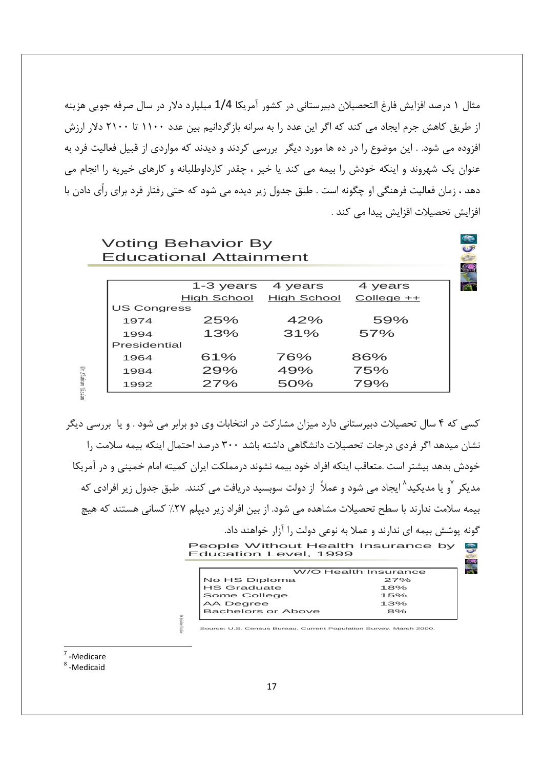مثال ۱ درصد افزایش فارغ التحصیلان دبیرستانی در کشور آمریکا 1/4 میلیارد دلار در سال صرفه جویی هزینه از طریق کاهش جرم ایجاد می کند که اگر این عدد را به سرانه بازگردانیم بین عدد ۱۱۰۰ تا ۲۱۰۰ دلار ارزش افزوده می شود. . این موضوع را در ده ها مورد دیگر بررسی کردند و دیدند که مواردی از قبیل فعالیت فرد به عنوان یک شهروند و اینکه خودش را بیمه می کند یا خیر ، چقدر کارداوطلبانه و کارهای خیریه را انجام می دهد ، زمان فعالیت فرهنگی او چگونه است . طبق جدول زیر دیده می شود که حتی رفتار فرد برای رأی دادن با افزايش تحصيلات افزايش پيدا مي كند .

#### **Voting Behavior By Educational Attainment**

|                    | 1-3 years 4 years |             | 4 years     |
|--------------------|-------------------|-------------|-------------|
|                    | High School       | High School | $College++$ |
| <b>US Congress</b> |                   |             |             |
| 1974               | 25%               | 42%         | 59%         |
| 1994               | 13%               | 31%         | 57%         |
| Presidential       |                   |             |             |
| 1964               | 61%               | 76%         | 86%         |
| 1984               | 29%               | 49%         | 75%         |
| 1992               | 27%               | 50%         | 79%         |

کسی که ۴ سال تحصیلات دبیرستانی دارد میزان مشارکت در انتخابات وی دو برابر می شود . و یا بررسی دیگر نشان میدهد اگر فردی درجات تحصیلات دانشگاهی داشته باشد ۳۰۰ درصد احتمال اینکه بیمه سلامت را خودش بدهد بیشتر است .متعاقب اینکه افراد خود بیمه نشوند درمملکت ایران کمیته امام خمینی و در آمریکا مدیکر <sup>۷</sup>و یا مدیکید^ ایجاد می شود و عملاً از دولت سوبسید دریافت می کنند. طبق جدول زیر افرادی که بیمه سلامت ندارند با سطح تحصیلات مشاهده می شود. از بین افراد زیر دیپلم ۲۷٪ کسانی هستند که هیچ گونه پوشش بیمه ای ندارند و عملا به نوعی دولت را آزار خواهند داد.  $\bigoplus_{i=1}^{\infty}$ 

People Without Health Insurance by<br>Education Level, 1999

|                    | W/O Health Insurance |  |  |  |
|--------------------|----------------------|--|--|--|
| No HS Diploma      | 27%                  |  |  |  |
| <b>HS Graduate</b> | 18%                  |  |  |  |
| Some College       | 15%                  |  |  |  |
| AA Degree          | 1.3%                 |  |  |  |
| Bachelors or Above | 8%                   |  |  |  |
|                    |                      |  |  |  |

Source: U.S. Census Bureau, Current Population Survey, March 2000

<sup>7</sup> -Medicare

Dr. Shahram Yazdan

<sup>8</sup>-Medicaid

: Suiten Stad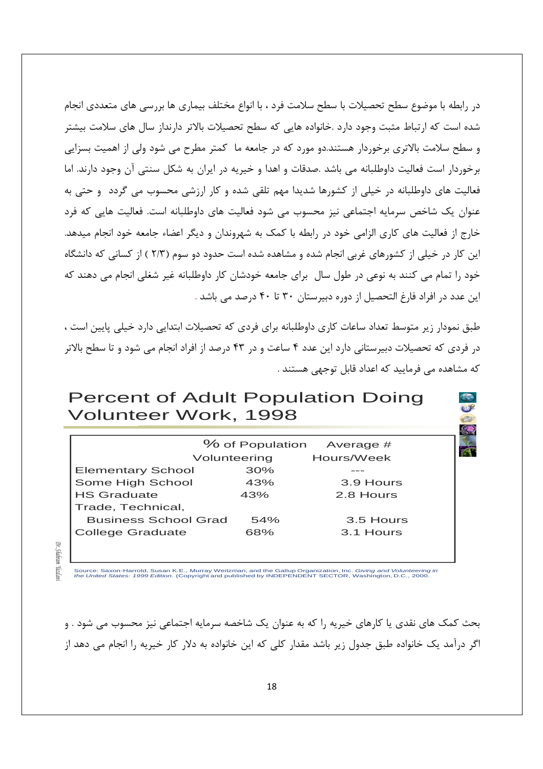در رابطه با موضوع سطح تحصیلات با سطح سلامت فرد ، با انواع مختلف بیماری ها بررسی های متعددی انجام شده است که ارتباط مثبت وجود دارد .خانواده هایی که سطح تحصیلات بالاتر دارنداز سال های سلامت بیشتر و سطح سلامت بالاتری برخوردار هستند.دو مورد که در جامعه ما کمتر مطرح می شود ولی از اهمیت بسزایی برخوردار است فعالیت داوطلبانه می باشد .صدقات و اهدا و خیریه در ایران به شکل سنتی آن وجود دارند. اما فعالیت های داوطلبانه در خیلی از کشورها شدیدا مهم تلقی شده و کار ارزشی محسوب می گردد و حتی به عنوان یک شاخص سرمایه اجتماعی نیز محسوب می شود فعالیت های داوطلبانه است. فعالیت هایی که فرد خارج از فعالیت های کاری الزامی خود در رابطه با کمک به شهروندان و دیگر اعضاء جامعه خود انجام میدهد. این کار در خیلی از کشورهای غربی انجام شده و مشاهده شده است حدود دو سوم (۲/۳ ) از کسانی که دانشگاه خود را تمام می کنند به نوعی در طول سال برای جامعه خودشان کار داوطلبانه غیر شغلی انجام می دهند که این عدد در افراد فارغ التحصیل از دوره دبیرستان ۳۰ تا ۴۰ درصد می باشد .

طبق نمودار زیر متوسط تعداد ساعات کاری داوطلبانه برای فردی که تحصیلات ابتدایی دارد خیلی پایین است ، در فردی که تحصیلات دبیرستانی دارد این عدد ۴ ساعت و در ۴۳ درصد از افراد انجام می شود و تا سطح بالاتر که مشاهده مے فرمایید که اعداد قابل توجهے هستند .

#### **Percent of Adult Population Doing** Volunteer Work, 1998

|                             | % of Population | Average #  |
|-----------------------------|-----------------|------------|
|                             | Volunteering    | Hours/Week |
| <b>Elementary School</b>    | 30%             |            |
| Some High School            | 43%             | 3.9 Hours  |
| <b>HS Graduate</b>          | 43%             | 2.8 Hours  |
| Trade, Technical,           |                 |            |
| <b>Business School Grad</b> | 54%             | 3.5 Hours  |
| <b>College Graduate</b>     | 68%             | 3.1 Hours  |
|                             |                 |            |

 $\mathbb{Q}$ Shahram Yazdar

Source: Saxon-Harrold, Susan K.E., Murray Weitzman, and the Gallup Organization, Inc. Giving and Volunteering in<br>the United States: 1999 Edition. (Copyright and published by INDEPENDENT SECTOR, Washington, D.C., 2000.

بحث کمک های نقدی یا کارهای خیریه را که به عنوان یک شاخصه سرمایه اجتماعی نیز محسوب می شود . و اگر درآمد یک خانواده طبق جدول زیر باشد مقدار کلی که این خانواده به دلار کار خیریه را انجام می دهد از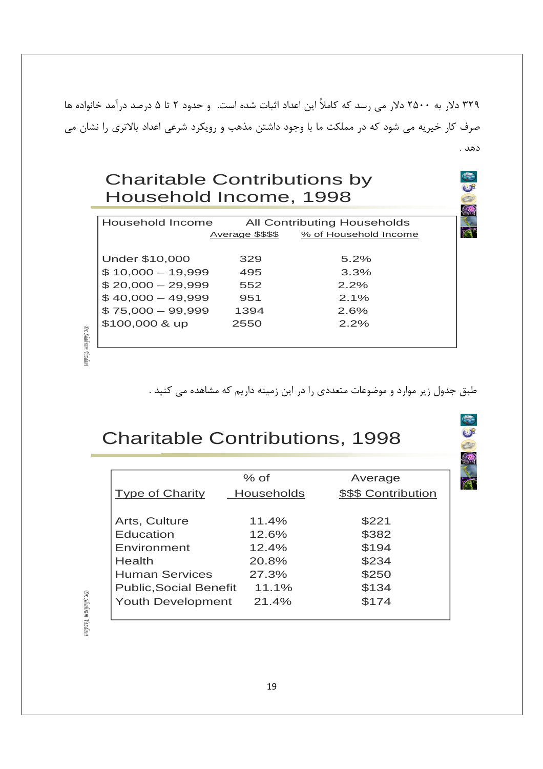۳۲۹ دلار به ۲۵۰۰ دلار می رسد که کاملاً این اعداد اثبات شده است. و حدود ۲ تا ۵ درصد درآمد خانواده ها صرف کار خیریه می شود که در مملکت ما با وجود داشتن مذهب و رویکرد شرعی اعداد بالاتری را نشان می دهد .

### **Charitable Contributions by** Household Income, 1998

| Household Income<br>All Contributing Households |                  |                       |  |  |  |
|-------------------------------------------------|------------------|-----------------------|--|--|--|
|                                                 | Average \$\$\$\$ | % of Household Income |  |  |  |
| Under \$10,000                                  | 329              | $5.2\%$               |  |  |  |
| $$10,000 - 19,999$                              | 495              | 3.3%                  |  |  |  |
| $$20,000 - 29,999$                              | 552              | 2.2%                  |  |  |  |
| $$40,000 - 49,999$                              | 951              | 2.1%                  |  |  |  |
| $$75,000 - 99,999$                              | 1394             | 2.6%                  |  |  |  |
| \$100,000 & up                                  | 2550             | 2.2%                  |  |  |  |
|                                                 |                  |                       |  |  |  |
|                                                 |                  |                       |  |  |  |

طبق جدول زیر موارد و موضوعات متعددی را در این زمینه داریم که مشاهده می کنید .

2

A

 $\bigcirc$  $\frac{1}{2}$ 

E R

# **Charitable Contributions, 1998**

|                               | $%$ of            | Average             |
|-------------------------------|-------------------|---------------------|
| <b>Type of Charity</b>        | <b>Households</b> | \$\$\$ Contribution |
|                               |                   |                     |
| Arts, Culture                 | 11.4%             | \$221               |
| Education                     | 12.6%             | \$382               |
| Environment                   | 12.4%             | \$194               |
| Health                        | 20.8%             | \$234               |
| <b>Human Services</b>         | 27.3%             | \$250               |
| <b>Public, Social Benefit</b> | $11.1\%$          | \$134               |
| <b>Youth Development</b>      | 21.4%             | \$174               |
|                               |                   |                     |

Dr. Shahram Yazdan

Dr. Shahram Yazdan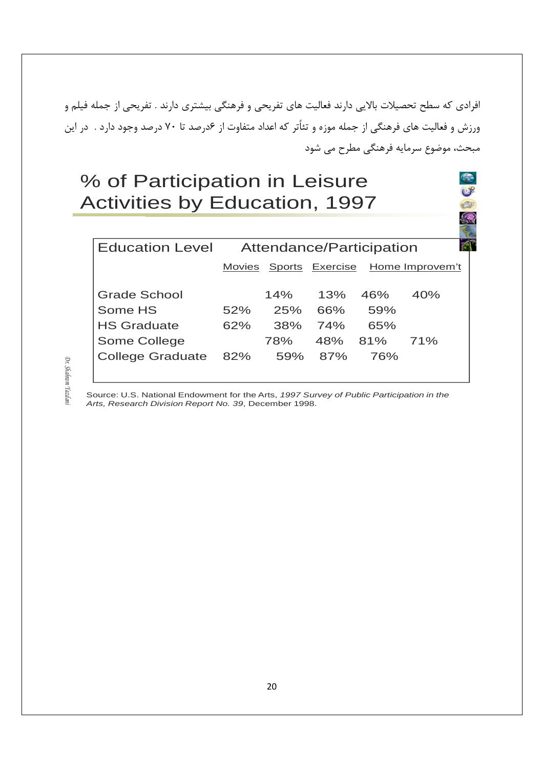افرادی که سطح تحصیلات بالایی دارند فعالیت های تفریحی و فرهنگی بیشتری دارند . تفریحی از جمله فیلم و ورزش و فعالیت های فرهنگی از جمله موزه و تئاًتر که اعداد متفاوت از ۶درصد تا ۷۰ درصد وجود دارد . در این مبحث، موضوع سرمايه فرهنگي مطرح مي شود

> $-8$ E

# % of Participation in Leisure Activities by Education, 1997

| <b>Education Level</b>  | Attendance/Participation |     |     |     |                                        |
|-------------------------|--------------------------|-----|-----|-----|----------------------------------------|
|                         |                          |     |     |     | Movies Sports Exercise Home Improvem't |
|                         |                          |     |     |     |                                        |
|                         |                          | 14% | 13% | 46% | 40%                                    |
| Some HS                 | 52%                      | 25% | 66% | 59% |                                        |
| <b>HS Graduate</b>      | 62%                      | 38% | 74% | 65% |                                        |
| Some College            |                          | 78% | 48% | 81% | 71%                                    |
| <b>College Graduate</b> | 82%                      | 59% | 87% | 76% |                                        |
|                         |                          |     |     |     |                                        |
| <b>Grade School</b>     |                          |     |     |     |                                        |

Source: U.S. National Endowment for the Arts, 1997 Survey of Public Participation in the Arts, Research Division Report No. 39, December 1998.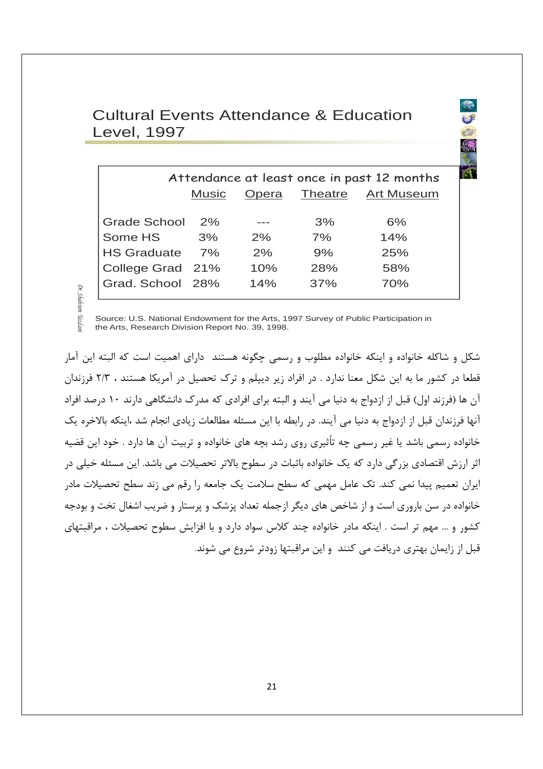#### **Cultural Events Attendance & Education Level, 1997**

 $(18)$ 

| Attendance at least once in past 12 months |              |       |                |                   |  |  |  |
|--------------------------------------------|--------------|-------|----------------|-------------------|--|--|--|
|                                            | <b>Music</b> | Opera | <b>Theatre</b> | <b>Art Museum</b> |  |  |  |
|                                            |              |       |                |                   |  |  |  |
| <b>Grade School</b>                        | 2%           |       | 3%             | 6%                |  |  |  |
| Some HS                                    | 3%           | $2\%$ | 7%             | 14%               |  |  |  |
| <b>HS Graduate</b>                         | 7%           | 2%    | 9%             | 25%               |  |  |  |
| College Grad 21%                           |              | 10%   | 28%            | 58%               |  |  |  |
| Grad. School 28%                           |              | 14%   | 37%            | 70%               |  |  |  |
|                                            |              |       |                |                   |  |  |  |

Dr. Shahram

Source: U.S. National Endowment for the Arts, 1997 Survey of Public Participation in

r Yazdan the Arts, Research Division Report No. 39, 1998.

شکل و شاکله خانواده و اینکه خانواده مطلوب و رسمی چگونه هستند دارای اهمیت است که البته این آمار قطعا در کشور ما به این شکل معنا ندارد . در افراد زیر دیپلم و ترک تحصیل در آمریکا هستند ، ۲/۳ فرزندان آن ها (فرزند اول) قبل از ازدواج به دنیا می آیند و البته برای افرادی که مدرک دانشگاهی دارند ۱۰ درصد افراد آنها فرزندان قبل از ازدواج به دنیا می آیند. در رابطه با این مسئله مطالعات زیادی انجام شد ،اینکه بالاخره یک خانواده رسمی باشد یا غیر رسمی چه تأثیری روی رشد بچه های خانواده و تربیت آن ها دارد . خود این قضیه اثر ارزش اقتصادی بزرگی دارد که یک خانواده باثبات در سطوح بالاتر تحصیلات می باشد. این مسئله خیلی در ایران تعمیم پیدا نمی کند. تک عامل مهمی که سطح سلامت یک جامعه ۱٫ رقم می زند سطح تحصیلات مادر خانواده در سن باروری است و از شاخص های دیگر ازجمله تعداد پزشک و پرستار و ضریب اشغال تخت و بودجه کشور و … مهم تر است . اینکه مادر خانواده چند کلاس سواد دارد و با افزایش سطوح تحصیلات ، مراقبتهای قبل از زایمان بهتری دریافت می کنند. و این مراقبتها زودتر شروع می شوند.